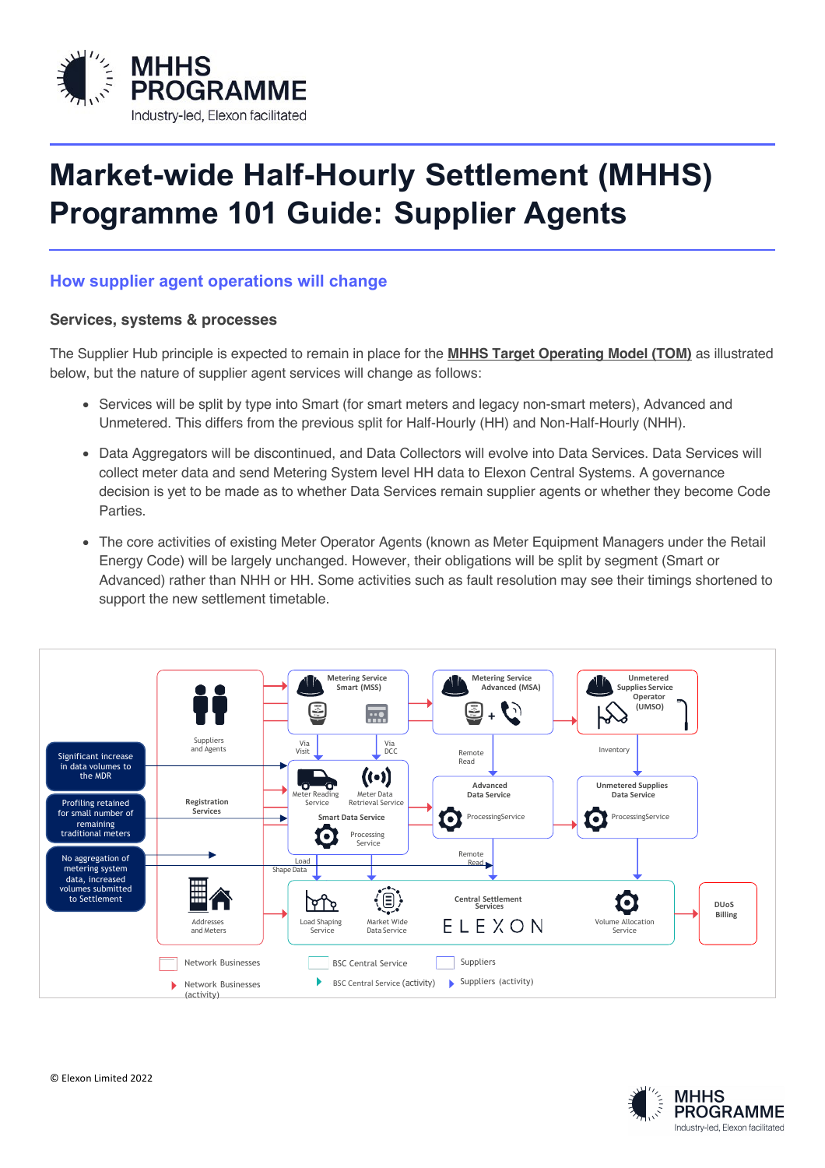

## **Market-wide Half-Hourly Settlement (MHHS) Programme 101 Guide: Supplier Agents**

## **How supplier agent operations will change**

## **Services, systems & processes**

The Supplier Hub principle is expected to remain in place for the **MHHS Target Operating Model (TOM)** as illustrated below, but the nature of supplier agent services will change as follows:

- Services will be split by type into Smart (for smart meters and legacy non-smart meters), Advanced and Unmetered. This differs from the previous split for Half-Hourly (HH) and Non-Half-Hourly (NHH).
- Data Aggregators will be discontinued, and Data Collectors will evolve into Data Services. Data Services will collect meter data and send Metering System level HH data to Elexon Central Systems. A governance decision is yet to be made as to whether Data Services remain supplier agents or whether they become Code **Parties**
- The core activities of existing Meter Operator Agents (known as Meter Equipment Managers under the Retail Increase activities of existing weter operator Agents (Known as weter Equipment Managers ander the Energy Code) will be largely unchanged. However, their obligations will be split by segment (Smart or Advanced) rather than NHH or HH. Some activities such as fault resolution may see their timings shortened to support the new settlement timetable.